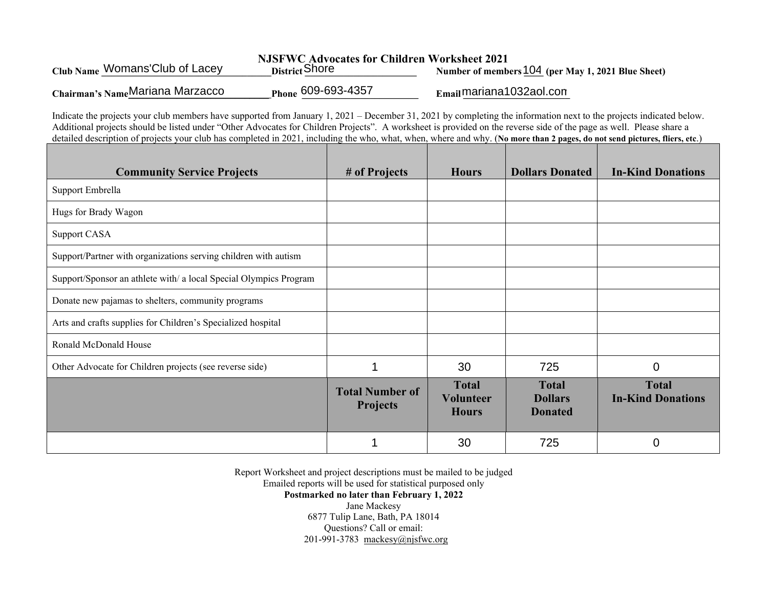| Club Name Womans'Club of Lacey   | <b>NJSFWC Advocates for Children Worksheet 2021</b><br>District Shore | Number of members 104 (per May 1, 2021 Blue Sheet) |  |  |
|----------------------------------|-----------------------------------------------------------------------|----------------------------------------------------|--|--|
| Chairman's Name Mariana Marzacco | Phone 609-693-4357                                                    | $E_{\text{mail}}$ mariana1032aol.com               |  |  |

Indicate the projects your club members have supported from January 1, 2021 – December 31, 2021 by completing the information next to the projects indicated below. Additional projects should be listed under "Other Advocates for Children Projects". A worksheet is provided on the reverse side of the page as well. Please share a detailed description of projects your club has completed in 2021, including the who, what, when, where and why. (**No more than 2 pages, do not send pictures, fliers, etc**.)

| <b>Community Service Projects</b>                                 | # of Projects                             | <b>Hours</b>                                     | <b>Dollars Donated</b>                           | <b>In-Kind Donations</b>                 |
|-------------------------------------------------------------------|-------------------------------------------|--------------------------------------------------|--------------------------------------------------|------------------------------------------|
| Support Embrella                                                  |                                           |                                                  |                                                  |                                          |
| Hugs for Brady Wagon                                              |                                           |                                                  |                                                  |                                          |
| Support CASA                                                      |                                           |                                                  |                                                  |                                          |
| Support/Partner with organizations serving children with autism   |                                           |                                                  |                                                  |                                          |
| Support/Sponsor an athlete with/ a local Special Olympics Program |                                           |                                                  |                                                  |                                          |
| Donate new pajamas to shelters, community programs                |                                           |                                                  |                                                  |                                          |
| Arts and crafts supplies for Children's Specialized hospital      |                                           |                                                  |                                                  |                                          |
| Ronald McDonald House                                             |                                           |                                                  |                                                  |                                          |
| Other Advocate for Children projects (see reverse side)           | 1                                         | 30                                               | 725                                              | $\overline{0}$                           |
|                                                                   | <b>Total Number of</b><br><b>Projects</b> | <b>Total</b><br><b>Volunteer</b><br><b>Hours</b> | <b>Total</b><br><b>Dollars</b><br><b>Donated</b> | <b>Total</b><br><b>In-Kind Donations</b> |
|                                                                   |                                           | 30                                               | 725                                              | 0                                        |

Report Worksheet and project descriptions must be mailed to be judged Emailed reports will be used for statistical purposed only **Postmarked no later than February 1, 2022**  Jane Mackesy 6877 Tulip Lane, Bath, PA 18014 Questions? Call or email:

201-991-3783 mackesy@njsfwc.org